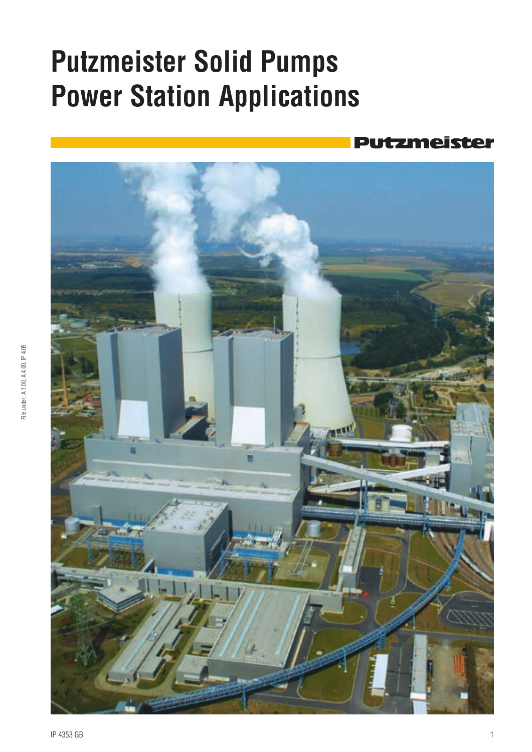# **Putzmeister Solid Pumps Power Station Applications**

### tzmeister

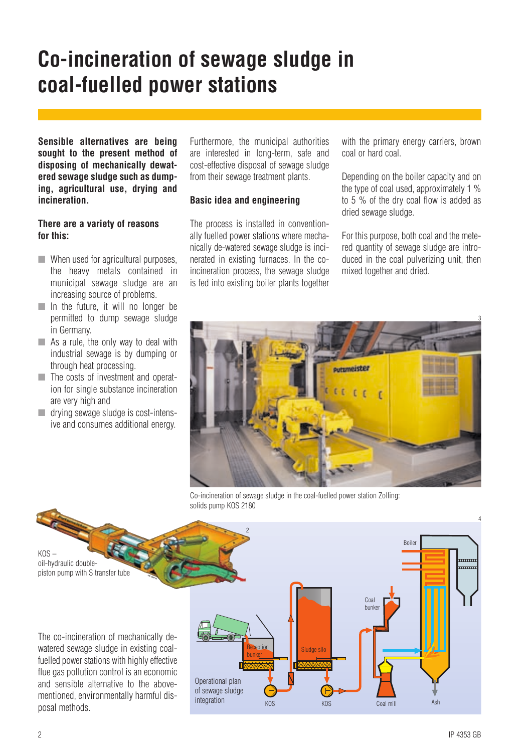### **Co-incineration of sewage sludge in coal-fuelled power stations**

**Sensible alternatives are being sought to the present method of disposing of mechanically dewatered sewage sludge such as dumping, agricultural use, drying and incineration.**

#### **There are a variety of reasons for this:**

- When used for agricultural purposes, the heavy metals contained in municipal sewage sludge are an increasing source of problems.
- In the future, it will no longer be permitted to dump sewage sludge in Germany.
- **■** As a rule, the only way to deal with industrial sewage is by dumping or through heat processing.
- ■■ The costs of investment and operation for single substance incineration are very high and
- **■** drying sewage sludge is cost-intensive and consumes additional energy.

Furthermore, the municipal authorities are interested in long-term, safe and cost-effective disposal of sewage sludge from their sewage treatment plants.

#### **Basic idea and engineering**

The process is installed in conventionally fuelled power stations where mechanically de-watered sewage sludge is incinerated in existing furnaces. In the coincineration process, the sewage sludge is fed into existing boiler plants together

with the primary energy carriers, brown coal or hard coal.

Depending on the boiler capacity and on the type of coal used, approximately 1 % to 5 % of the dry coal flow is added as dried sewage sludge.

For this purpose, both coal and the metered quantity of sewage sludge are introduced in the coal pulverizing unit, then mixed together and dried.



Co-incineration of sewage sludge in the coal-fuelled power station Zolling: solids pump KOS 2180

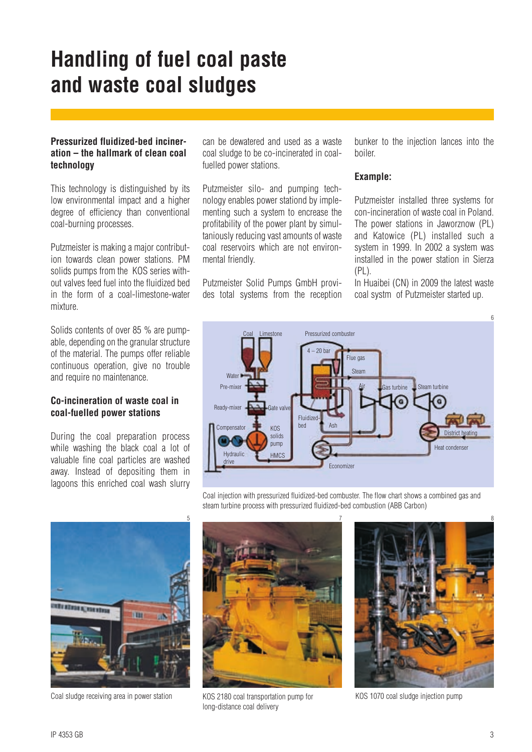### **Handling of fuel coal paste and waste coal sludges**

#### **Pressurized fluidized-bed incineration – the hallmark of clean coal technology**

This technology is distinguished by its low environmental impact and a higher degree of efficiency than conventional coal-burning processes.

Putzmeister is making a major contribution towards clean power stations. PM solids pumps from the KOS series without valves feed fuel into the fluidized bed in the form of a coal-limestone-water mixture.

Solids contents of over 85 % are pumpable, depending on the granular structure of the material. The pumps offer reliable continuous operation, give no trouble and require no maintenance.

#### **Co-incineration of waste coal in coal-fuelled power stations**

During the coal preparation process while washing the black coal a lot of valuable fine coal particles are washed away. Instead of depositing them in lagoons this enriched coal wash slurry

can be dewatered and used as a waste coal sludge to be co-incinerated in coalfuelled power stations.

Putzmeister silo- and pumping technology enables power stationd by implementing such a system to encrease the profitability of the power plant by simultaniously reducing vast amounts of waste coal reservoirs which are not environmental friendly.

Putzmeister Solid Pumps GmbH provides total systems from the reception bunker to the injection lances into the boiler.

#### **Example:**

Putzmeister installed three systems for con-incineration of waste coal in Poland. The power stations in Jaworznow (PL) and Katowice (PL) installed such a system in 1999. In 2002 a system was installed in the power station in Sierza  $(PL)$ .

In Huaibei (CN) in 2009 the latest waste coal systm of Putzmeister started up.





Coal sludge receiving area in power station KOS 2180 coal transportation pump for KOS 1070 coal sludge injection pump

Coal injection with pressurized fluidized-bed combuster. The flow chart shows a combined gas and steam turbine process with pressurized fluidized-bed combustion (ABB Carbon)



KOS 2180 coal transportation pump for long-distance coal delivery